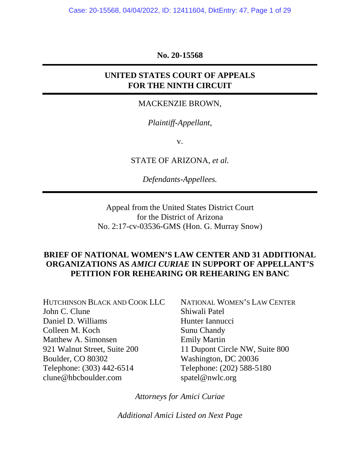**No. 20-15568** 

## **UNITED STATES COURT OF APPEALS FOR THE NINTH CIRCUIT**

#### MACKENZIE BROWN,

### *Plaintiff-Appellant,*

v.

STATE OF ARIZONA, *et al.*

*Defendants-Appellees.* 

Appeal from the United States District Court for the District of Arizona No. 2:17-cv-03536-GMS (Hon. G. Murray Snow)

### **BRIEF OF NATIONAL WOMEN'S LAW CENTER AND 31 ADDITIONAL ORGANIZATIONS AS** *AMICI CURIAE* **IN SUPPORT OF APPELLANT'S PETITION FOR REHEARING OR REHEARING EN BANC**

HUTCHINSON BLACK AND COOK LLC John C. Clune Daniel D. Williams Colleen M. Koch Matthew A. Simonsen 921 Walnut Street, Suite 200 Boulder, CO 80302 Telephone: (303) 442-6514 clune@hbcboulder.com

NATIONAL WOMEN'S LAW CENTER Shiwali Patel Hunter Iannucci Sunu Chandy Emily Martin 11 Dupont Circle NW, Suite 800 Washington, DC 20036 Telephone: (202) 588-5180 spatel@nwlc.org

*Attorneys for Amici Curiae* 

*Additional Amici Listed on Next Page*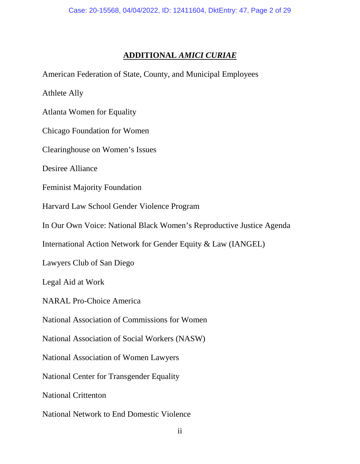#### **ADDITIONAL** *AMICI CURIAE*

American Federation of State, County, and Municipal Employees

Athlete Ally

Atlanta Women for Equality

Chicago Foundation for Women

Clearinghouse on Women's Issues

Desiree Alliance

Feminist Majority Foundation

Harvard Law School Gender Violence Program

In Our Own Voice: National Black Women's Reproductive Justice Agenda

International Action Network for Gender Equity & Law (IANGEL)

Lawyers Club of San Diego

Legal Aid at Work

NARAL Pro-Choice America

National Association of Commissions for Women

National Association of Social Workers (NASW)

National Association of Women Lawyers

National Center for Transgender Equality

National Crittenton

National Network to End Domestic Violence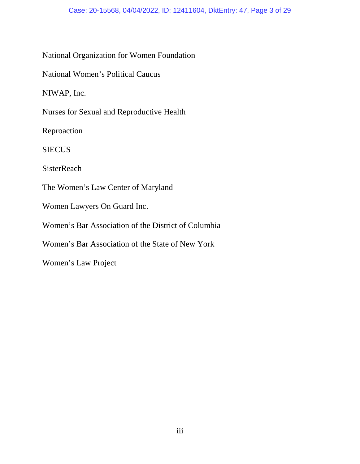#### Case: 20-15568, 04/04/2022, ID: 12411604, DktEntry: 47, Page 3 of 29

### National Organization for Women Foundation

National Women's Political Caucus

NIWAP, Inc.

Nurses for Sexual and Reproductive Health

Reproaction

**SIECUS** 

**SisterReach** 

The Women's Law Center of Maryland

Women Lawyers On Guard Inc.

Women's Bar Association of the District of Columbia

Women's Bar Association of the State of New York

Women's Law Project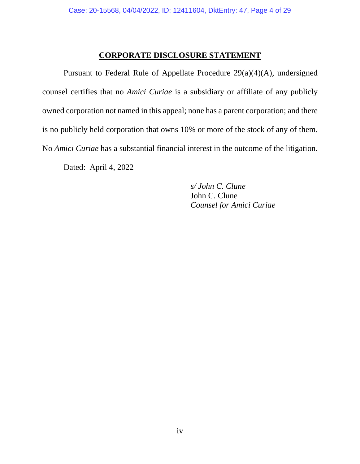#### **CORPORATE DISCLOSURE STATEMENT**

<span id="page-3-0"></span>Pursuant to Federal Rule of Appellate Procedure 29(a)(4)(A), undersigned counsel certifies that no *Amici Curiae* is a subsidiary or affiliate of any publicly owned corporation not named in this appeal; none has a parent corporation; and there is no publicly held corporation that owns 10% or more of the stock of any of them. No *Amici Curiae* has a substantial financial interest in the outcome of the litigation.

Dated: April 4, 2022

*s/ John C. Clune* 

John C. Clune *Counsel for Amici Curiae*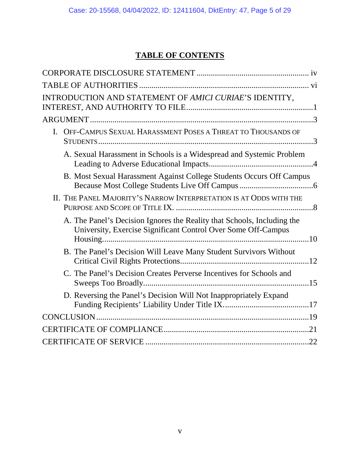# **TABLE OF CONTENTS**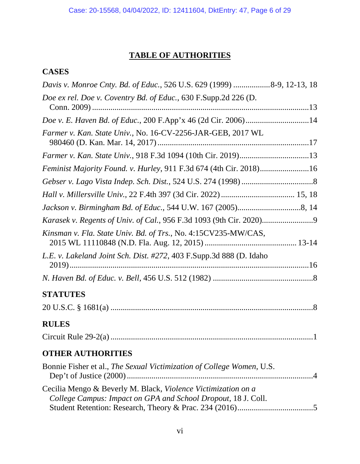# **TABLE OF AUTHORITIES**

# <span id="page-5-0"></span>**CASES**

| Davis v. Monroe Cnty. Bd. of Educ., 526 U.S. 629 (1999) 8-9, 12-13, 18                                                         |
|--------------------------------------------------------------------------------------------------------------------------------|
| Doe ex rel. Doe v. Coventry Bd. of Educ., 630 F.Supp.2d 226 (D.                                                                |
|                                                                                                                                |
| Farmer v. Kan. State Univ., No. 16-CV-2256-JAR-GEB, 2017 WL                                                                    |
|                                                                                                                                |
| Feminist Majority Found. v. Hurley, 911 F.3d 674 (4th Cir. 2018)16                                                             |
|                                                                                                                                |
|                                                                                                                                |
|                                                                                                                                |
|                                                                                                                                |
| Kinsman v. Fla. State Univ. Bd. of Trs., No. 4:15CV235-MW/CAS,                                                                 |
| L.E. v. Lakeland Joint Sch. Dist. #272, 403 F.Supp.3d 888 (D. Idaho                                                            |
|                                                                                                                                |
| <b>STATUTES</b>                                                                                                                |
|                                                                                                                                |
| <b>RULES</b>                                                                                                                   |
|                                                                                                                                |
| <b>OTHER AUTHORITIES</b>                                                                                                       |
| Bonnie Fisher et al., The Sexual Victimization of College Women, U.S.                                                          |
| Cecilia Mengo & Beverly M. Black, Violence Victimization on a<br>College Campus: Impact on GPA and School Dropout, 18 J. Coll. |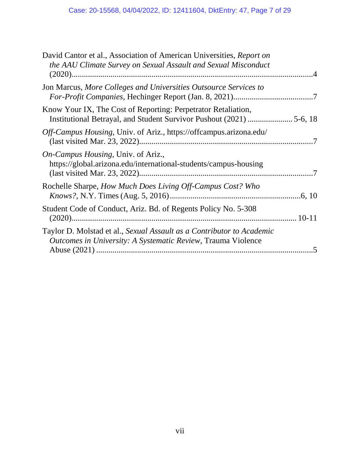| David Cantor et al., Association of American Universities, Report on<br>the AAU Climate Survey on Sexual Assault and Sexual Misconduct       |        |
|----------------------------------------------------------------------------------------------------------------------------------------------|--------|
| Jon Marcus, More Colleges and Universities Outsource Services to                                                                             |        |
| Know Your IX, The Cost of Reporting: Perpetrator Retaliation,                                                                                |        |
| <i>Off-Campus Housing</i> , Univ. of Ariz., https://offcampus.arizona.edu/                                                                   |        |
| <i>On-Campus Housing</i> , Univ. of Ariz.,<br>https://global.arizona.edu/international-students/campus-housing                               |        |
| Rochelle Sharpe, How Much Does Living Off-Campus Cost? Who                                                                                   | .6, 10 |
| Student Code of Conduct, Ariz. Bd. of Regents Policy No. 5-308                                                                               |        |
| Taylor D. Molstad et al., Sexual Assault as a Contributor to Academic<br><i>Outcomes in University: A Systematic Review, Trauma Violence</i> |        |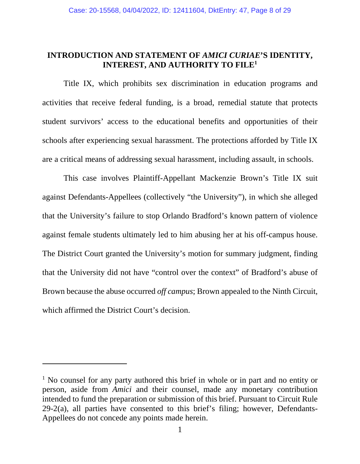#### <span id="page-7-0"></span>**INTRODUCTION AND STATEMENT OF** *AMICI CURIAE***'S IDENTITY, INTEREST, AND AUTHORITY TO FILE<sup>1</sup>**

Title IX, which prohibits sex discrimination in education programs and activities that receive federal funding, is a broad, remedial statute that protects student survivors' access to the educational benefits and opportunities of their schools after experiencing sexual harassment. The protections afforded by Title IX are a critical means of addressing sexual harassment, including assault, in schools.

This case involves Plaintiff-Appellant Mackenzie Brown's Title IX suit against Defendants-Appellees (collectively "the University"), in which she alleged that the University's failure to stop Orlando Bradford's known pattern of violence against female students ultimately led to him abusing her at his off-campus house. The District Court granted the University's motion for summary judgment, finding that the University did not have "control over the context" of Bradford's abuse of Brown because the abuse occurred *off campus*; Brown appealed to the Ninth Circuit, which affirmed the District Court's decision.

<sup>&</sup>lt;sup>1</sup> No counsel for any party authored this brief in whole or in part and no entity or person, aside from *Amici* and their counsel, made any monetary contribution intended to fund the preparation or submission of this brief. Pursuant to Circuit Rule  $29-2(a)$ , all parties have consented to this brief's filing; however, Defendants-Appellees do not concede any points made herein.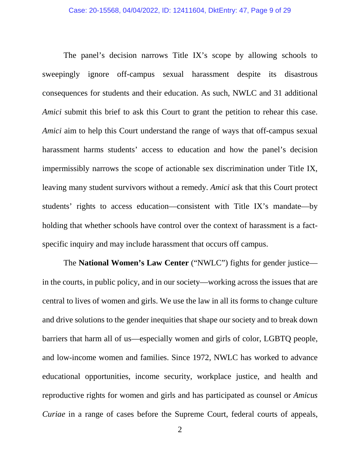The panel's decision narrows Title IX's scope by allowing schools to sweepingly ignore off-campus sexual harassment despite its disastrous consequences for students and their education. As such, NWLC and 31 additional *Amici* submit this brief to ask this Court to grant the petition to rehear this case. *Amici* aim to help this Court understand the range of ways that off-campus sexual harassment harms students' access to education and how the panel's decision impermissibly narrows the scope of actionable sex discrimination under Title IX, leaving many student survivors without a remedy. *Amici* ask that this Court protect students' rights to access education—consistent with Title IX's mandate—by holding that whether schools have control over the context of harassment is a factspecific inquiry and may include harassment that occurs off campus.

The **National Women's Law Center** ("NWLC") fights for gender justice in the courts, in public policy, and in our society—working across the issues that are central to lives of women and girls. We use the law in all its forms to change culture and drive solutions to the gender inequities that shape our society and to break down barriers that harm all of us—especially women and girls of color, LGBTQ people, and low-income women and families. Since 1972, NWLC has worked to advance educational opportunities, income security, workplace justice, and health and reproductive rights for women and girls and has participated as counsel or *Amicus Curiae* in a range of cases before the Supreme Court, federal courts of appeals,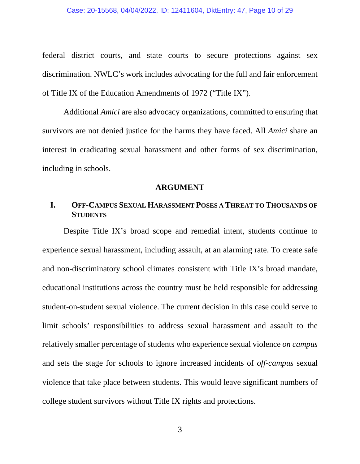#### Case: 20-15568, 04/04/2022, ID: 12411604, DktEntry: 47, Page 10 of 29

federal district courts, and state courts to secure protections against sex discrimination. NWLC's work includes advocating for the full and fair enforcement of Title IX of the Education Amendments of 1972 ("Title IX").

Additional *Amici* are also advocacy organizations, committed to ensuring that survivors are not denied justice for the harms they have faced. All *Amici* share an interest in eradicating sexual harassment and other forms of sex discrimination, including in schools.

#### **ARGUMENT**

### <span id="page-9-1"></span><span id="page-9-0"></span>**I. OFF-CAMPUS SEXUAL HARASSMENT POSES A THREAT TO THOUSANDS OF STUDENTS**

Despite Title IX's broad scope and remedial intent, students continue to experience sexual harassment, including assault, at an alarming rate. To create safe and non-discriminatory school climates consistent with Title IX's broad mandate, educational institutions across the country must be held responsible for addressing student-on-student sexual violence. The current decision in this case could serve to limit schools' responsibilities to address sexual harassment and assault to the relatively smaller percentage of students who experience sexual violence *on campus* and sets the stage for schools to ignore increased incidents of *off-campus* sexual violence that take place between students. This would leave significant numbers of college student survivors without Title IX rights and protections.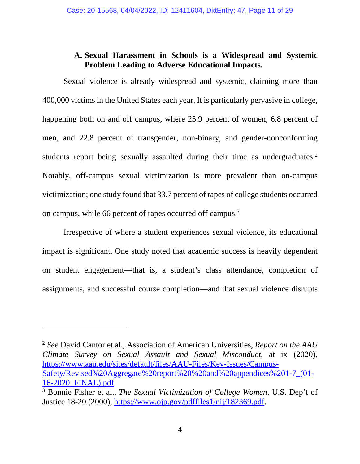### **A. Sexual Harassment in Schools is a Widespread and Systemic Problem Leading to Adverse Educational Impacts.**

<span id="page-10-0"></span>Sexual violence is already widespread and systemic, claiming more than 400,000 victims in the United States each year. It is particularly pervasive in college, happening both on and off campus, where 25.9 percent of women, 6.8 percent of men, and 22.8 percent of transgender, non-binary, and gender-nonconforming students report being sexually assaulted during their time as undergraduates.<sup>2</sup> Notably, off-campus sexual victimization is more prevalent than on-campus victimization; one study found that 33.7 percent of rapes of college students occurred on campus, while 66 percent of rapes occurred off campus.<sup>3</sup>

Irrespective of where a student experiences sexual violence, its educational impact is significant. One study noted that academic success is heavily dependent on student engagement—that is, a student's class attendance, completion of assignments, and successful course completion—and that sexual violence disrupts

<sup>2</sup> *See* David Cantor et al., Association of American Universities, *Report on the AAU Climate Survey on Sexual Assault and Sexual Misconduct*, at ix (2020), [https://www.aau.edu/sites/default/files/AAU-Files/Key-Issues/Campus-](https://www.aau.edu/sites/default/files/AAU-Files/Key-Issues/Campus-Safety/Revised%20Aggregate%20report%20%20and%20appendices%201-7_(01-16-2020_FINAL).pdf)[Safety/Revised%20Aggregate%20report%20%20and%20appendices%201-7\\_\(01-](https://www.aau.edu/sites/default/files/AAU-Files/Key-Issues/Campus-Safety/Revised%20Aggregate%20report%20%20and%20appendices%201-7_(01-16-2020_FINAL).pdf) [16-2020\\_FINAL\).pdf.](https://www.aau.edu/sites/default/files/AAU-Files/Key-Issues/Campus-Safety/Revised%20Aggregate%20report%20%20and%20appendices%201-7_(01-16-2020_FINAL).pdf)

<sup>3</sup> Bonnie Fisher et al., *The Sexual Victimization of College Women*, U.S. Dep't of Justice 18-20 (2000), [https://www.ojp.gov/pdffiles1/nij/182369.pdf.](https://www.ojp.gov/pdffiles1/nij/182369.pdf)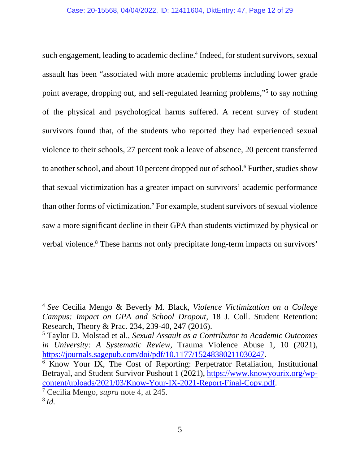such engagement, leading to academic decline.<sup>4</sup> Indeed, for student survivors, sexual assault has been "associated with more academic problems including lower grade point average, dropping out, and self-regulated learning problems,"<sup>5</sup> to say nothing of the physical and psychological harms suffered. A recent survey of student survivors found that, of the students who reported they had experienced sexual violence to their schools, 27 percent took a leave of absence, 20 percent transferred to another school, and about 10 percent dropped out of school.<sup>6</sup> Further, studies show that sexual victimization has a greater impact on survivors' academic performance than other forms of victimization.<sup>7</sup> For example, student survivors of sexual violence saw a more significant decline in their GPA than students victimized by physical or verbal violence.<sup>8</sup> These harms not only precipitate long-term impacts on survivors'

<sup>4</sup>*See* Cecilia Mengo & Beverly M. Black, *Violence Victimization on a College Campus: Impact on GPA and School Dropout*, 18 J. Coll. Student Retention: Research, Theory & Prac. 234, 239-40, 247 (2016).

<sup>5</sup> Taylor D. Molstad et al., *Sexual Assault as a Contributor to Academic Outcomes in University: A Systematic Review*, Trauma Violence Abuse 1, 10 (2021), [https://journals.sagepub.com/doi/pdf/10.1177/15248380211030247.](https://journals.sagepub.com/doi/pdf/10.1177/15248380211030247)

<sup>6</sup> Know Your IX, The Cost of Reporting: Perpetrator Retaliation, Institutional Betrayal, and Student Survivor Pushout 1 (2021), [https://www.knowyourix.org/wp](https://www.knowyourix.org/wp-content/uploads/2021/03/Know-Your-IX-2021-Report-Final-Copy.pdf)[content/uploads/2021/03/Know-Your-IX-2021-Report-Final-Copy.pdf.](https://www.knowyourix.org/wp-content/uploads/2021/03/Know-Your-IX-2021-Report-Final-Copy.pdf)

<sup>7</sup> Cecilia Mengo, *supra* note 4, at 245. <sup>8</sup>*Id.*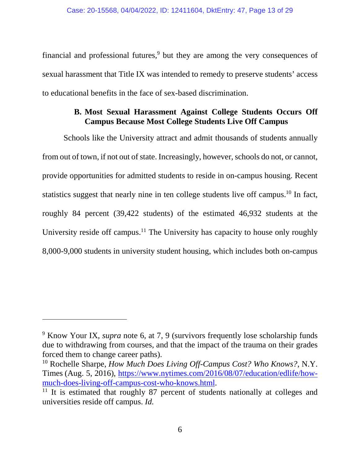financial and professional futures, $9$  but they are among the very consequences of sexual harassment that Title IX was intended to remedy to preserve students' access to educational benefits in the face of sex-based discrimination.

### **B. Most Sexual Harassment Against College Students Occurs Off Campus Because Most College Students Live Off Campus**

<span id="page-12-0"></span>Schools like the University attract and admit thousands of students annually from out of town, if not out of state. Increasingly, however, schools do not, or cannot, provide opportunities for admitted students to reside in on-campus housing. Recent statistics suggest that nearly nine in ten college students live off campus.<sup>10</sup> In fact, roughly 84 percent (39,422 students) of the estimated 46,932 students at the University reside off campus.<sup>11</sup> The University has capacity to house only roughly 8,000-9,000 students in university student housing, which includes both on-campus

<sup>&</sup>lt;sup>9</sup> Know Your IX, *supra* note 6, at 7, 9 (survivors frequently lose scholarship funds due to withdrawing from courses, and that the impact of the trauma on their grades forced them to change career paths).

<sup>10</sup> Rochelle Sharpe, *How Much Does Living Off-Campus Cost? Who Knows?*, N.Y. Times (Aug. 5, 2016), [https://www.nytimes.com/2016/08/07/education/edlife/how](https://www.nytimes.com/2016/08/07/education/edlife/how-much-does-living-off-campus-cost-who-knows.html)[much-does-living-off-campus-cost-who-knows.html.](https://www.nytimes.com/2016/08/07/education/edlife/how-much-does-living-off-campus-cost-who-knows.html)

<sup>&</sup>lt;sup>11</sup> It is estimated that roughly 87 percent of students nationally at colleges and universities reside off campus. *Id.*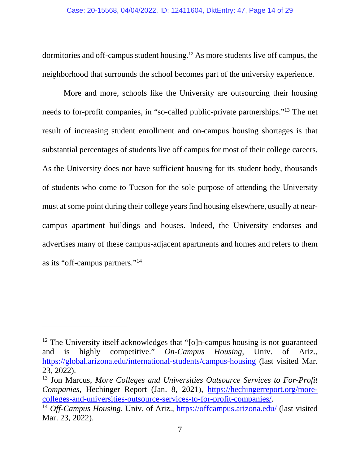dormitories and off-campus student housing.12 As more students live off campus, the neighborhood that surrounds the school becomes part of the university experience.

More and more, schools like the University are outsourcing their housing needs to for-profit companies, in "so-called public-private partnerships."<sup>13</sup> The net result of increasing student enrollment and on-campus housing shortages is that substantial percentages of students live off campus for most of their college careers. As the University does not have sufficient housing for its student body, thousands of students who come to Tucson for the sole purpose of attending the University must at some point during their college years find housing elsewhere, usually at nearcampus apartment buildings and houses. Indeed, the University endorses and advertises many of these campus-adjacent apartments and homes and refers to them as its "off-campus partners."<sup>14</sup>

<sup>&</sup>lt;sup>12</sup> The University itself acknowledges that "[o]n-campus housing is not guaranteed and is highly competitive." *On-Campus Housing*, Univ. of Ariz., <https://global.arizona.edu/international-students/campus-housing>(last visited Mar. 23, 2022).

<sup>13</sup> Jon Marcus, *More Colleges and Universities Outsource Services to For-Profit Companies*, Hechinger Report (Jan. 8, 2021), [https://hechingerreport.org/more](https://hechingerreport.org/more-colleges-and-universities-outsource-services-to-for-profit-companies/)[colleges-and-universities-outsource-services-to-for-profit-companies/.](https://hechingerreport.org/more-colleges-and-universities-outsource-services-to-for-profit-companies/)

<sup>&</sup>lt;sup>14</sup> *Off-Campus Housing*, Univ. of Ariz.,<https://offcampus.arizona.edu/>(last visited Mar. 23, 2022).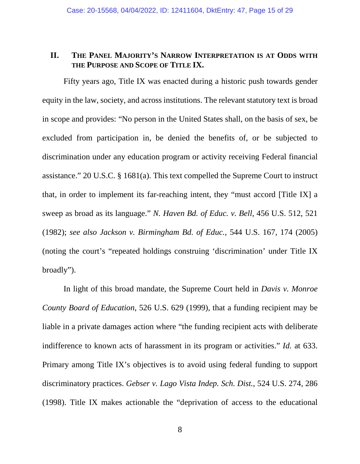### <span id="page-14-0"></span>**II. THE PANEL MAJORITY'S NARROW INTERPRETATION IS AT ODDS WITH THE PURPOSE AND SCOPE OF TITLE IX.**

Fifty years ago, Title IX was enacted during a historic push towards gender equity in the law, society, and across institutions. The relevant statutory text is broad in scope and provides: "No person in the United States shall, on the basis of sex, be excluded from participation in, be denied the benefits of, or be subjected to discrimination under any education program or activity receiving Federal financial assistance." 20 U.S.C. § 1681(a). This text compelled the Supreme Court to instruct that, in order to implement its far-reaching intent, they "must accord [Title IX] a sweep as broad as its language." *N. Haven Bd. of Educ. v. Bell*, 456 U.S. 512, 521 (1982); *see also Jackson v. Birmingham Bd. of Educ.*, 544 U.S. 167, 174 (2005) (noting the court's "repeated holdings construing 'discrimination' under Title IX broadly").

In light of this broad mandate, the Supreme Court held in *Davis v. Monroe County Board of Education*, 526 U.S. 629 (1999), that a funding recipient may be liable in a private damages action where "the funding recipient acts with deliberate indifference to known acts of harassment in its program or activities." *Id.* at 633. Primary among Title IX's objectives is to avoid using federal funding to support discriminatory practices. *Gebser v. Lago Vista Indep. Sch. Dist.*, 524 U.S. 274, 286 (1998). Title IX makes actionable the "deprivation of access to the educational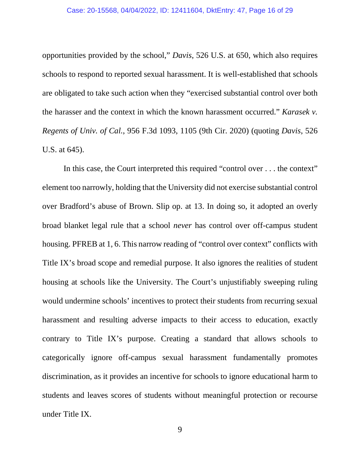opportunities provided by the school," *Davis*, 526 U.S. at 650, which also requires schools to respond to reported sexual harassment. It is well-established that schools are obligated to take such action when they "exercised substantial control over both the harasser and the context in which the known harassment occurred." *Karasek v. Regents of Univ. of Cal.*, 956 F.3d 1093, 1105 (9th Cir. 2020) (quoting *Davis*, 526 U.S. at 645).

In this case, the Court interpreted this required "control over . . . the context" element too narrowly, holding that the University did not exercise substantial control over Bradford's abuse of Brown. Slip op. at 13. In doing so, it adopted an overly broad blanket legal rule that a school *never* has control over off-campus student housing. PFREB at 1, 6. This narrow reading of "control over context" conflicts with Title IX's broad scope and remedial purpose. It also ignores the realities of student housing at schools like the University. The Court's unjustifiably sweeping ruling would undermine schools' incentives to protect their students from recurring sexual harassment and resulting adverse impacts to their access to education, exactly contrary to Title IX's purpose. Creating a standard that allows schools to categorically ignore off-campus sexual harassment fundamentally promotes discrimination, as it provides an incentive for schools to ignore educational harm to students and leaves scores of students without meaningful protection or recourse under Title IX.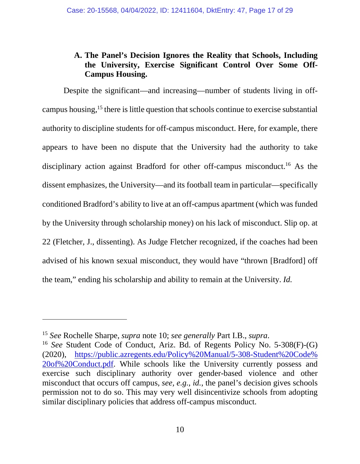## <span id="page-16-0"></span>**A. The Panel's Decision Ignores the Reality that Schools, Including the University, Exercise Significant Control Over Some Off-Campus Housing.**

Despite the significant—and increasing—number of students living in offcampus housing,<sup>15</sup> there is little question that schools continue to exercise substantial authority to discipline students for off-campus misconduct. Here, for example, there appears to have been no dispute that the University had the authority to take disciplinary action against Bradford for other off-campus misconduct.<sup>16</sup> As the dissent emphasizes, the University—and its football team in particular—specifically conditioned Bradford's ability to live at an off-campus apartment (which was funded by the University through scholarship money) on his lack of misconduct. Slip op. at 22 (Fletcher, J., dissenting). As Judge Fletcher recognized, if the coaches had been advised of his known sexual misconduct, they would have "thrown [Bradford] off the team," ending his scholarship and ability to remain at the University. *Id.*

<sup>15</sup> *See* Rochelle Sharpe, *supra* note 10; *see generally* Part I.B., *supra*.

<sup>16</sup> *See* Student Code of Conduct, Ariz. Bd. of Regents Policy No. 5-308(F)-(G) (2020), [https://public.azregents.edu/Policy%20Manual/5-308-Student%20Code%](https://public.azregents.edu/Policy%20Manual/5-308-Student%20Code%20of%20Conduct.pdf)  [20of%20Conduct.pdf.](https://public.azregents.edu/Policy%20Manual/5-308-Student%20Code%20of%20Conduct.pdf) While schools like the University currently possess and exercise such disciplinary authority over gender-based violence and other misconduct that occurs off campus, *see, e.g.*, *id.*, the panel's decision gives schools permission not to do so. This may very well disincentivize schools from adopting similar disciplinary policies that address off-campus misconduct.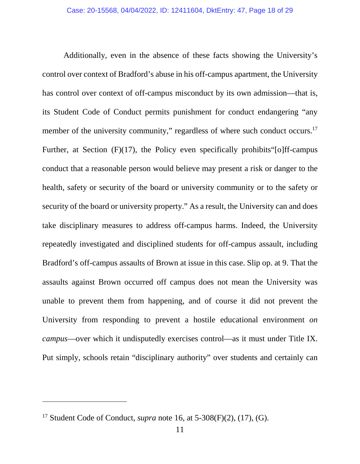Additionally, even in the absence of these facts showing the University's control over context of Bradford's abuse in his off-campus apartment, the University has control over context of off-campus misconduct by its own admission—that is, its Student Code of Conduct permits punishment for conduct endangering "any member of the university community," regardless of where such conduct occurs.<sup>17</sup> Further, at Section  $(F)(17)$ , the Policy even specifically prohibits [o] ff-campus conduct that a reasonable person would believe may present a risk or danger to the health, safety or security of the board or university community or to the safety or security of the board or university property." As a result, the University can and does take disciplinary measures to address off-campus harms. Indeed, the University repeatedly investigated and disciplined students for off-campus assault, including Bradford's off-campus assaults of Brown at issue in this case. Slip op. at 9. That the assaults against Brown occurred off campus does not mean the University was unable to prevent them from happening, and of course it did not prevent the University from responding to prevent a hostile educational environment *on campus*—over which it undisputedly exercises control—as it must under Title IX. Put simply, schools retain "disciplinary authority" over students and certainly can

 $\overline{a}$ 

<sup>17</sup> Student Code of Conduct, *supra* note 16, at 5-308(F)(2), (17), (G).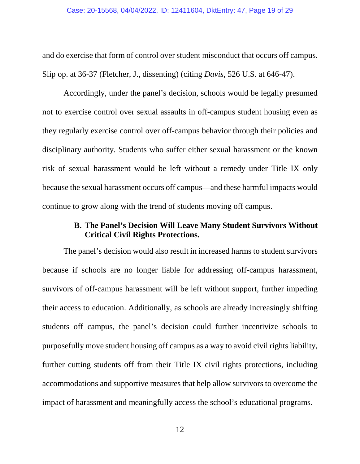and do exercise that form of control over student misconduct that occurs off campus. Slip op. at 36-37 (Fletcher, J., dissenting) (citing *Davis*, 526 U.S. at 646-47).

Accordingly, under the panel's decision, schools would be legally presumed not to exercise control over sexual assaults in off-campus student housing even as they regularly exercise control over off-campus behavior through their policies and disciplinary authority. Students who suffer either sexual harassment or the known risk of sexual harassment would be left without a remedy under Title IX only because the sexual harassment occurs off campus—and these harmful impacts would continue to grow along with the trend of students moving off campus.

### **B. The Panel's Decision Will Leave Many Student Survivors Without Critical Civil Rights Protections.**

<span id="page-18-0"></span>The panel's decision would also result in increased harms to student survivors because if schools are no longer liable for addressing off-campus harassment, survivors of off-campus harassment will be left without support, further impeding their access to education. Additionally, as schools are already increasingly shifting students off campus, the panel's decision could further incentivize schools to purposefully move student housing off campus as a way to avoid civil rights liability, further cutting students off from their Title IX civil rights protections, including accommodations and supportive measures that help allow survivors to overcome the impact of harassment and meaningfully access the school's educational programs.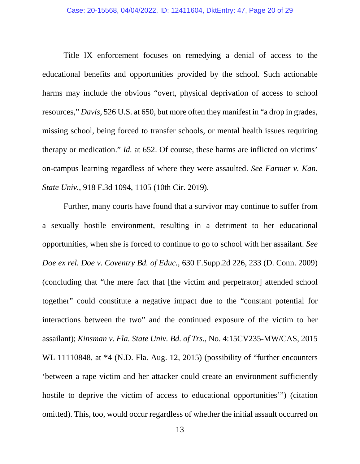Title IX enforcement focuses on remedying a denial of access to the educational benefits and opportunities provided by the school. Such actionable harms may include the obvious "overt, physical deprivation of access to school resources," *Davis*, 526 U.S. at 650, but more often they manifest in "a drop in grades, missing school, being forced to transfer schools, or mental health issues requiring therapy or medication." *Id.* at 652. Of course, these harms are inflicted on victims' on-campus learning regardless of where they were assaulted. *See Farmer v. Kan. State Univ.*, 918 F.3d 1094, 1105 (10th Cir. 2019).

Further, many courts have found that a survivor may continue to suffer from a sexually hostile environment, resulting in a detriment to her educational opportunities, when she is forced to continue to go to school with her assailant. *See Doe ex rel. Doe v. Coventry Bd. of Educ.*, 630 F.Supp.2d 226, 233 (D. Conn. 2009) (concluding that "the mere fact that [the victim and perpetrator] attended school together" could constitute a negative impact due to the "constant potential for interactions between the two" and the continued exposure of the victim to her assailant); *Kinsman v. Fla. State Univ. Bd. of Trs.*, No. 4:15CV235-MW/CAS, 2015 WL 11110848, at  $*4$  (N.D. Fla. Aug. 12, 2015) (possibility of "further encounters" 'between a rape victim and her attacker could create an environment sufficiently hostile to deprive the victim of access to educational opportunities'") (citation omitted). This, too, would occur regardless of whether the initial assault occurred on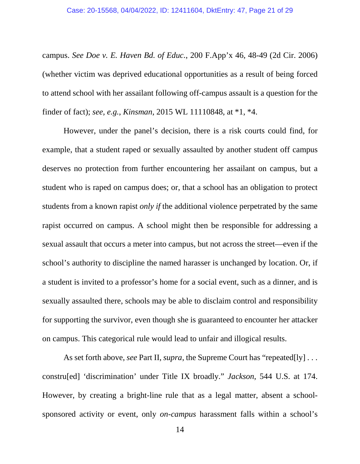#### Case: 20-15568, 04/04/2022, ID: 12411604, DktEntry: 47, Page 21 of 29

campus. *See Doe v. E. Haven Bd. of Educ.*, 200 F.App'x 46, 48-49 (2d Cir. 2006) (whether victim was deprived educational opportunities as a result of being forced to attend school with her assailant following off-campus assault is a question for the finder of fact); *see, e.g.*, *Kinsman*, 2015 WL 11110848, at \*1, \*4.

However, under the panel's decision, there is a risk courts could find, for example, that a student raped or sexually assaulted by another student off campus deserves no protection from further encountering her assailant on campus, but a student who is raped on campus does; or, that a school has an obligation to protect students from a known rapist *only if* the additional violence perpetrated by the same rapist occurred on campus. A school might then be responsible for addressing a sexual assault that occurs a meter into campus, but not across the street—even if the school's authority to discipline the named harasser is unchanged by location. Or, if a student is invited to a professor's home for a social event, such as a dinner, and is sexually assaulted there, schools may be able to disclaim control and responsibility for supporting the survivor, even though she is guaranteed to encounter her attacker on campus. This categorical rule would lead to unfair and illogical results.

As set forth above, *see* Part II, *supra*, the Supreme Court has "repeated[ly] . . . constru[ed] 'discrimination' under Title IX broadly." *Jackson*, 544 U.S. at 174. However, by creating a bright-line rule that as a legal matter, absent a schoolsponsored activity or event, only *on-campus* harassment falls within a school's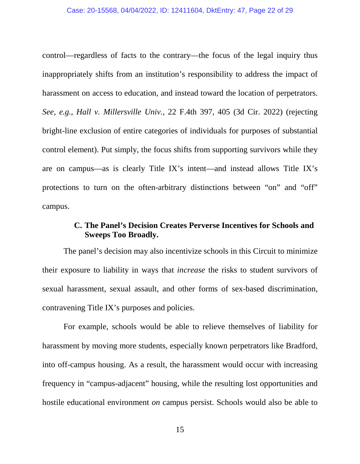#### Case: 20-15568, 04/04/2022, ID: 12411604, DktEntry: 47, Page 22 of 29

control—regardless of facts to the contrary—the focus of the legal inquiry thus inappropriately shifts from an institution's responsibility to address the impact of harassment on access to education, and instead toward the location of perpetrators. *See, e.g.*, *Hall v. Millersville Univ.*, 22 F.4th 397, 405 (3d Cir. 2022) (rejecting bright-line exclusion of entire categories of individuals for purposes of substantial control element). Put simply, the focus shifts from supporting survivors while they are on campus—as is clearly Title IX's intent—and instead allows Title IX's protections to turn on the often-arbitrary distinctions between "on" and "off" campus.

#### **C. The Panel's Decision Creates Perverse Incentives for Schools and Sweeps Too Broadly.**

<span id="page-21-0"></span>The panel's decision may also incentivize schools in this Circuit to minimize their exposure to liability in ways that *increase* the risks to student survivors of sexual harassment, sexual assault, and other forms of sex-based discrimination, contravening Title IX's purposes and policies.

For example, schools would be able to relieve themselves of liability for harassment by moving more students, especially known perpetrators like Bradford, into off-campus housing. As a result, the harassment would occur with increasing frequency in "campus-adjacent" housing, while the resulting lost opportunities and hostile educational environment *on* campus persist. Schools would also be able to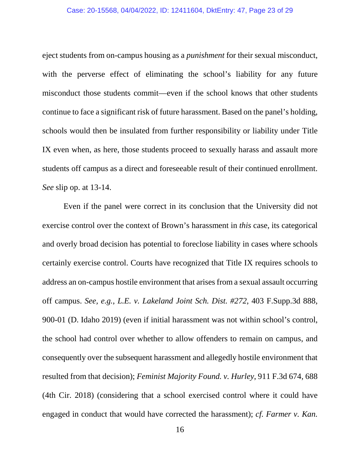#### Case: 20-15568, 04/04/2022, ID: 12411604, DktEntry: 47, Page 23 of 29

eject students from on-campus housing as a *punishment* for their sexual misconduct, with the perverse effect of eliminating the school's liability for any future misconduct those students commit—even if the school knows that other students continue to face a significant risk of future harassment. Based on the panel's holding, schools would then be insulated from further responsibility or liability under Title IX even when, as here, those students proceed to sexually harass and assault more students off campus as a direct and foreseeable result of their continued enrollment. *See* slip op. at 13-14.

Even if the panel were correct in its conclusion that the University did not exercise control over the context of Brown's harassment in *this* case, its categorical and overly broad decision has potential to foreclose liability in cases where schools certainly exercise control. Courts have recognized that Title IX requires schools to address an on-campus hostile environment that arises from a sexual assault occurring off campus. *See, e.g.*, *L.E. v. Lakeland Joint Sch. Dist. #272*, 403 F.Supp.3d 888, 900-01 (D. Idaho 2019) (even if initial harassment was not within school's control, the school had control over whether to allow offenders to remain on campus, and consequently over the subsequent harassment and allegedly hostile environment that resulted from that decision); *Feminist Majority Found. v. Hurley*, 911 F.3d 674, 688 (4th Cir. 2018) (considering that a school exercised control where it could have engaged in conduct that would have corrected the harassment); *cf. Farmer v. Kan.*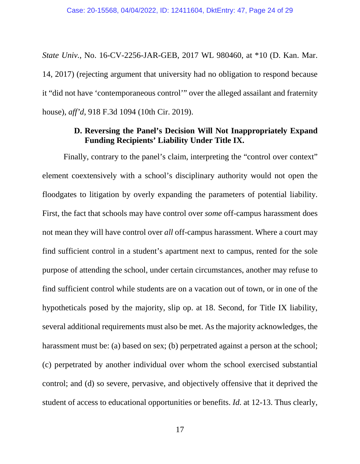*State Univ.*, No. 16-CV-2256-JAR-GEB, 2017 WL 980460, at \*10 (D. Kan. Mar. 14, 2017) (rejecting argument that university had no obligation to respond because it "did not have 'contemporaneous control'" over the alleged assailant and fraternity house), *aff'd*, 918 F.3d 1094 (10th Cir. 2019).

#### **D. Reversing the Panel's Decision Will Not Inappropriately Expand Funding Recipients' Liability Under Title IX.**

<span id="page-23-0"></span>Finally, contrary to the panel's claim, interpreting the "control over context" element coextensively with a school's disciplinary authority would not open the floodgates to litigation by overly expanding the parameters of potential liability. First, the fact that schools may have control over *some* off-campus harassment does not mean they will have control over *all* off-campus harassment. Where a court may find sufficient control in a student's apartment next to campus, rented for the sole purpose of attending the school, under certain circumstances, another may refuse to find sufficient control while students are on a vacation out of town, or in one of the hypotheticals posed by the majority, slip op. at 18. Second, for Title IX liability, several additional requirements must also be met. As the majority acknowledges, the harassment must be: (a) based on sex; (b) perpetrated against a person at the school; (c) perpetrated by another individual over whom the school exercised substantial control; and (d) so severe, pervasive, and objectively offensive that it deprived the student of access to educational opportunities or benefits. *Id.* at 12-13. Thus clearly,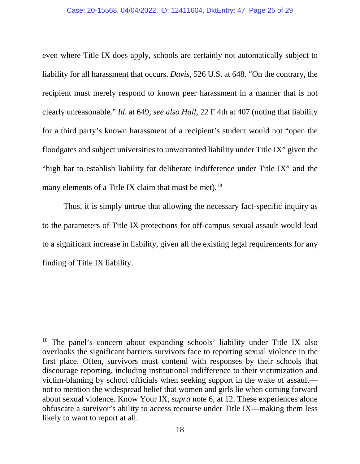#### Case: 20-15568, 04/04/2022, ID: 12411604, DktEntry: 47, Page 25 of 29

even where Title IX does apply, schools are certainly not automatically subject to liability for all harassment that occurs. *Davis*, 526 U.S. at 648. "On the contrary, the recipient must merely respond to known peer harassment in a manner that is not clearly unreasonable." *Id*. at 649; *see also Hall*, 22 F.4th at 407 (noting that liability for a third party's known harassment of a recipient's student would not "open the floodgates and subject universities to unwarranted liability under Title IX" given the "high bar to establish liability for deliberate indifference under Title IX" and the many elements of a Title IX claim that must be met).<sup>18</sup>

Thus, it is simply untrue that allowing the necessary fact-specific inquiry as to the parameters of Title IX protections for off-campus sexual assault would lead to a significant increase in liability, given all the existing legal requirements for any finding of Title IX liability.

<sup>&</sup>lt;sup>18</sup> The panel's concern about expanding schools' liability under Title IX also overlooks the significant barriers survivors face to reporting sexual violence in the first place. Often, survivors must contend with responses by their schools that discourage reporting, including institutional indifference to their victimization and victim-blaming by school officials when seeking support in the wake of assault not to mention the widespread belief that women and girls lie when coming forward about sexual violence. Know Your IX, *supra* note 6, at 12. These experiences alone obfuscate a survivor's ability to access recourse under Title IX—making them less likely to want to report at all.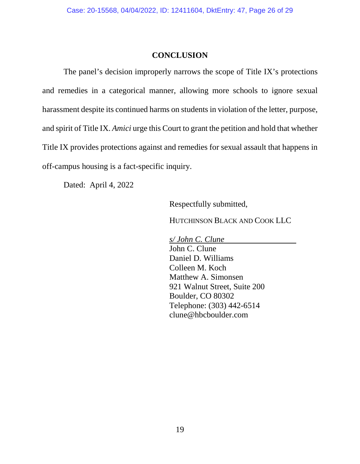#### **CONCLUSION**

<span id="page-25-0"></span>The panel's decision improperly narrows the scope of Title IX's protections and remedies in a categorical manner, allowing more schools to ignore sexual harassment despite its continued harms on students in violation of the letter, purpose, and spirit of Title IX. *Amici* urge this Court to grant the petition and hold that whether Title IX provides protections against and remedies for sexual assault that happens in off-campus housing is a fact-specific inquiry.

Dated: April 4, 2022

Respectfully submitted,

HUTCHINSON BLACK AND COOK LLC

*s/ John C. Clune*  John C. Clune Daniel D. Williams Colleen M. Koch Matthew A. Simonsen 921 Walnut Street, Suite 200 Boulder, CO 80302 Telephone: (303) 442-6514 clune@hbcboulder.com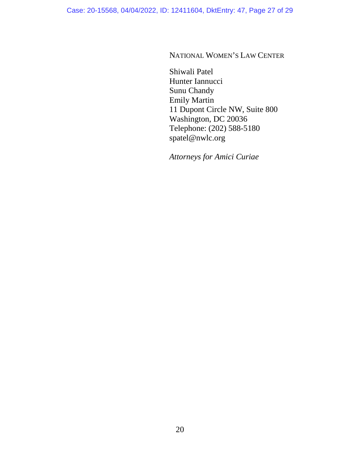NATIONAL WOMEN'S LAW CENTER

Shiwali Patel Hunter Iannucci Sunu Chandy Emily Martin 11 Dupont Circle NW, Suite 800 Washington, DC 20036 Telephone: (202) 588-5180 spatel@nwlc.org

*Attorneys for Amici Curiae*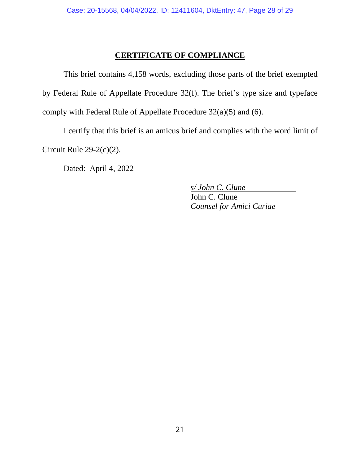### **CERTIFICATE OF COMPLIANCE**

<span id="page-27-0"></span>This brief contains 4,158 words, excluding those parts of the brief exempted by Federal Rule of Appellate Procedure 32(f). The brief's type size and typeface comply with Federal Rule of Appellate Procedure 32(a)(5) and (6).

I certify that this brief is an amicus brief and complies with the word limit of Circuit Rule 29-2(c)(2).

Dated: April 4, 2022

*s/ John C. Clune*  John C. Clune *Counsel for Amici Curiae*